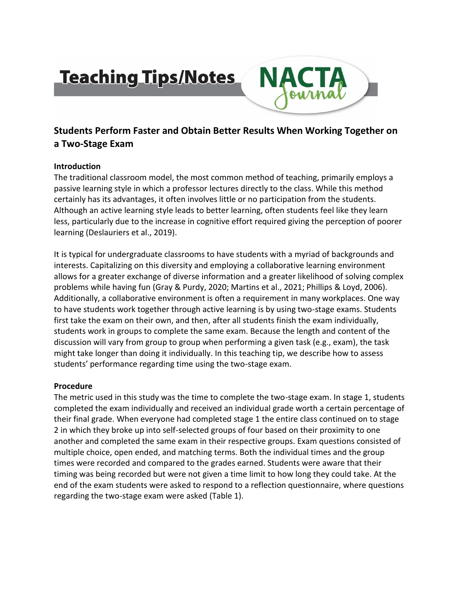# **Teaching Tips/Notes**



# **Students Perform Faster and Obtain Better Results When Working Together on a Two-Stage Exam**

# **Introduction**

The traditional classroom model, the most common method of teaching, primarily employs a passive learning style in which a professor lectures directly to the class. While this method certainly has its advantages, it often involves little or no participation from the students. Although an active learning style leads to better learning, often students feel like they learn less, particularly due to the increase in cognitive effort required giving the perception of poorer learning (Deslauriers et al., 2019).

It is typical for undergraduate classrooms to have students with a myriad of backgrounds and interests. Capitalizing on this diversity and employing a collaborative learning environment allows for a greater exchange of diverse information and a greater likelihood of solving complex problems while having fun (Gray & Purdy, 2020; Martins et al., 2021; Phillips & Loyd, 2006). Additionally, a collaborative environment is often a requirement in many workplaces. One way to have students work together through active learning is by using two-stage exams. Students first take the exam on their own, and then, after all students finish the exam individually, students work in groups to complete the same exam. Because the length and content of the discussion will vary from group to group when performing a given task (e.g., exam), the task might take longer than doing it individually. In this teaching tip, we describe how to assess students' performance regarding time using the two-stage exam.

#### **Procedure**

The metric used in this study was the time to complete the two-stage exam. In stage 1, students completed the exam individually and received an individual grade worth a certain percentage of their final grade. When everyone had completed stage 1 the entire class continued on to stage 2 in which they broke up into self-selected groups of four based on their proximity to one another and completed the same exam in their respective groups. Exam questions consisted of multiple choice, open ended, and matching terms. Both the individual times and the group times were recorded and compared to the grades earned. Students were aware that their timing was being recorded but were not given a time limit to how long they could take. At the end of the exam students were asked to respond to a reflection questionnaire, where questions regarding the two-stage exam were asked (Table 1).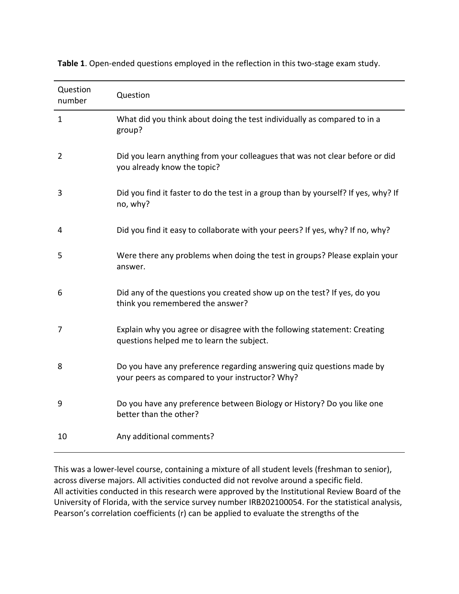| Question<br>number | Question                                                                                                                 |
|--------------------|--------------------------------------------------------------------------------------------------------------------------|
| 1                  | What did you think about doing the test individually as compared to in a<br>group?                                       |
| $\overline{2}$     | Did you learn anything from your colleagues that was not clear before or did<br>you already know the topic?              |
| 3                  | Did you find it faster to do the test in a group than by yourself? If yes, why? If<br>no, why?                           |
| 4                  | Did you find it easy to collaborate with your peers? If yes, why? If no, why?                                            |
| 5                  | Were there any problems when doing the test in groups? Please explain your<br>answer.                                    |
| 6                  | Did any of the questions you created show up on the test? If yes, do you<br>think you remembered the answer?             |
| 7                  | Explain why you agree or disagree with the following statement: Creating<br>questions helped me to learn the subject.    |
| 8                  | Do you have any preference regarding answering quiz questions made by<br>your peers as compared to your instructor? Why? |
| 9                  | Do you have any preference between Biology or History? Do you like one<br>better than the other?                         |
| 10                 | Any additional comments?                                                                                                 |

**Table 1**. Open-ended questions employed in the reflection in this two-stage exam study.

This was a lower-level course, containing a mixture of all student levels (freshman to senior), across diverse majors. All activities conducted did not revolve around a specific field. All activities conducted in this research were approved by the Institutional Review Board of the University of Florida, with the service survey number IRB202100054. For the statistical analysis, Pearson's correlation coefficients (r) can be applied to evaluate the strengths of the